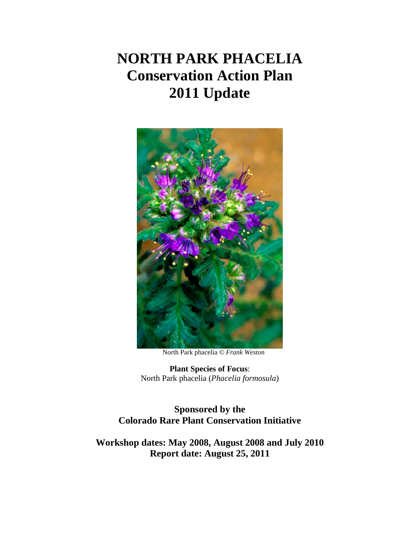# **NORTH PARK PHACELIA Conservation Action Plan 2011 Update**



North Park phacelia *© Frank Weston*

**Plant Species of Focus**: North Park phacelia (*Phacelia formosula*)

**Sponsored by the Colorado Rare Plant Conservation Initiative**

<span id="page-0-0"></span>**Workshop dates: May 2008, August 2008 and July 2010 Report date: August 25, 2011**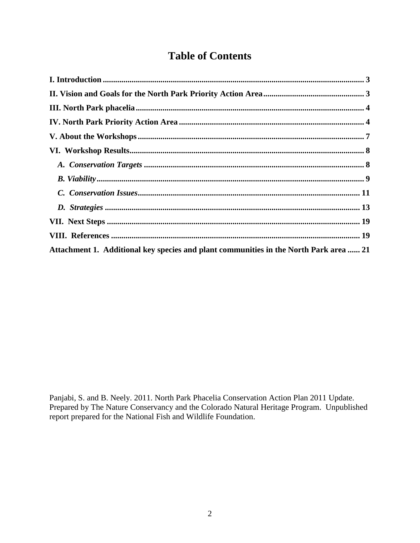# **Table of Contents**

| Attachment 1. Additional key species and plant communities in the North Park area  21 |
|---------------------------------------------------------------------------------------|

Panjabi, S. and B. Neely. 2011. North Park Phacelia Conservation Action Plan 2011 Update. Prepared by The Nature Conservancy and the Colorado Natural Heritage Program. Unpublished report prepared for the National Fish and Wildlife Foundation.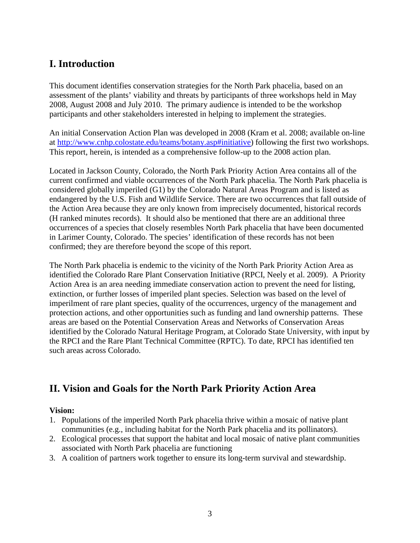### <span id="page-2-0"></span>**I. Introduction**

This document identifies conservation strategies for the North Park phacelia, based on an assessment of the plants' viability and threats by participants of three workshops held in May 2008, August 2008 and July 2010. The primary audience is intended to be the workshop participants and other stakeholders interested in helping to implement the strategies.

An initial Conservation Action Plan was developed in 2008 (Kram et al. 2008; available on-line at [http://www.cnhp.colostate.edu/teams/botany.asp#initiative\)](http://www.cnhp.colostate.edu/teams/botany.asp#initiative) following the first two workshops. This report, herein, is intended as a comprehensive follow-up to the 2008 action plan.

Located in Jackson County, Colorado, the North Park Priority Action Area contains all of the current confirmed and viable occurrences of the North Park phacelia. The North Park phacelia is considered globally imperiled (G1) by the Colorado Natural Areas Program and is listed as endangered by the U.S. Fish and Wildlife Service. There are two occurrences that fall outside of the Action Area because they are only known from imprecisely documented, historical records (H ranked minutes records). It should also be mentioned that there are an additional three occurrences of a species that closely resembles North Park phacelia that have been documented in Larimer County, Colorado. The species' identification of these records has not been confirmed; they are therefore beyond the scope of this report.

The North Park phacelia is endemic to the vicinity of the North Park Priority Action Area as identified the Colorado Rare Plant Conservation Initiative (RPCI, Neely et al. 2009). A Priority Action Area is an area needing immediate conservation action to prevent the need for listing, extinction, or further losses of imperiled plant species. Selection was based on the level of imperilment of rare plant species, quality of the occurrences, urgency of the management and protection actions, and other opportunities such as funding and land ownership patterns. These areas are based on the Potential Conservation Areas and Networks of Conservation Areas identified by the Colorado Natural Heritage Program, at Colorado State University, with input by the RPCI and the Rare Plant Technical Committee (RPTC). To date, RPCI has identified ten such areas across Colorado.

# <span id="page-2-1"></span>**II. Vision and Goals for the North Park Priority Action Area**

#### **Vision:**

- 1. Populations of the imperiled North Park phacelia thrive within a mosaic of native plant communities (e.g., including habitat for the North Park phacelia and its pollinators).
- 2. Ecological processes that support the habitat and local mosaic of native plant communities associated with North Park phacelia are functioning
- 3. A coalition of partners work together to ensure its long-term survival and stewardship.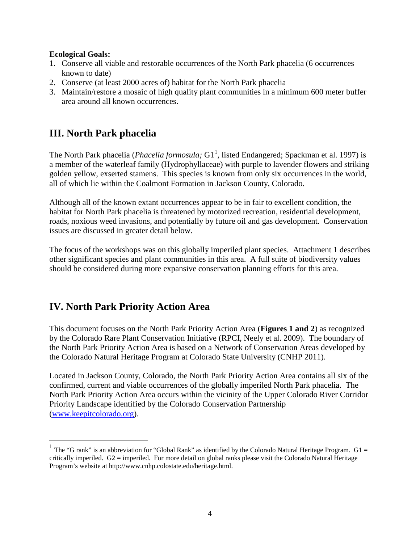#### **Ecological Goals:**

- 1. Conserve all viable and restorable occurrences of the North Park phacelia (6 occurrences known to date)
- 2. Conserve (at least 2000 acres of) habitat for the North Park phacelia
- 3. Maintain/restore a mosaic of high quality plant communities in a minimum 600 meter buffer area around all known occurrences.

# <span id="page-3-0"></span>**III. North Park phacelia**

The North Park phacelia (*Phacelia formosula*; G[1](#page-0-0)<sup>1</sup>, listed Endangered; Spackman et al. 1997) is a member of the waterleaf family (Hydrophyllaceae) with purple to lavender flowers and striking golden yellow, exserted stamens. This species is known from only six occurrences in the world, all of which lie within the Coalmont Formation in Jackson County, Colorado.

Although all of the known extant occurrences appear to be in fair to excellent condition, the habitat for North Park phacelia is threatened by motorized recreation, residential development, roads, noxious weed invasions, and potentially by future oil and gas development. Conservation issues are discussed in greater detail below.

The focus of the workshops was on this globally imperiled plant species. Attachment 1 describes other significant species and plant communities in this area. A full suite of biodiversity values should be considered during more expansive conservation planning efforts for this area.

# <span id="page-3-1"></span>**IV. North Park Priority Action Area**

This document focuses on the North Park Priority Action Area (**Figures 1 and 2**) as recognized by the Colorado Rare Plant Conservation Initiative (RPCI, Neely et al. 2009). The boundary of the North Park Priority Action Area is based on a Network of Conservation Areas developed by the Colorado Natural Heritage Program at Colorado State University (CNHP 2011).

Located in Jackson County, Colorado, the North Park Priority Action Area contains all six of the confirmed, current and viable occurrences of the globally imperiled North Park phacelia. The North Park Priority Action Area occurs within the vicinity of the Upper Colorado River Corridor Priority Landscape identified by the Colorado Conservation Partnership [\(www.keepitcolorado.org\)](http://www.keepitcolorado.org/).

<sup>&</sup>lt;sup>1</sup> The "G rank" is an abbreviation for "Global Rank" as identified by the Colorado Natural Heritage Program.  $G1 =$ critically imperiled. G2 = imperiled. For more detail on global ranks please visit the Colorado Natural Heritage Program's website at http://www.cnhp.colostate.edu/heritage.html.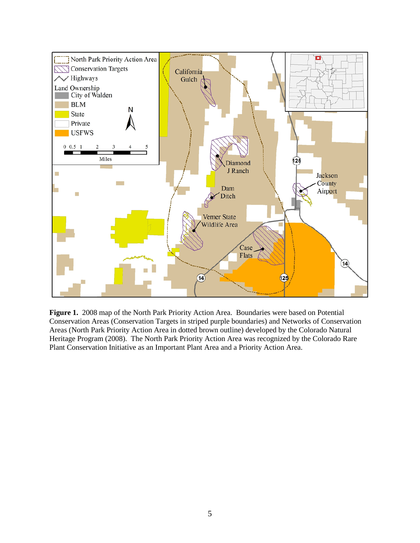

**Figure 1.** 2008 map of the North Park Priority Action Area. Boundaries were based on Potential Conservation Areas (Conservation Targets in striped purple boundaries) and Networks of Conservation Areas (North Park Priority Action Area in dotted brown outline) developed by the Colorado Natural Heritage Program (2008). The North Park Priority Action Area was recognized by the Colorado Rare Plant Conservation Initiative as an Important Plant Area and a Priority Action Area.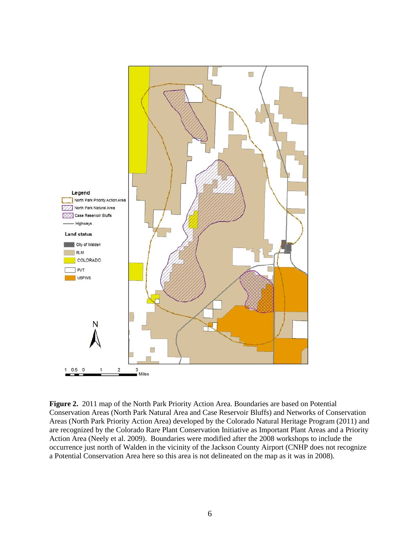

**Figure 2.** 2011 map of the North Park Priority Action Area. Boundaries are based on Potential Conservation Areas (North Park Natural Area and Case Reservoir Bluffs) and Networks of Conservation Areas (North Park Priority Action Area) developed by the Colorado Natural Heritage Program (2011) and are recognized by the Colorado Rare Plant Conservation Initiative as Important Plant Areas and a Priority Action Area (Neely et al. 2009). Boundaries were modified after the 2008 workshops to include the occurrence just north of Walden in the vicinity of the Jackson County Airport (CNHP does not recognize a Potential Conservation Area here so this area is not delineated on the map as it was in 2008).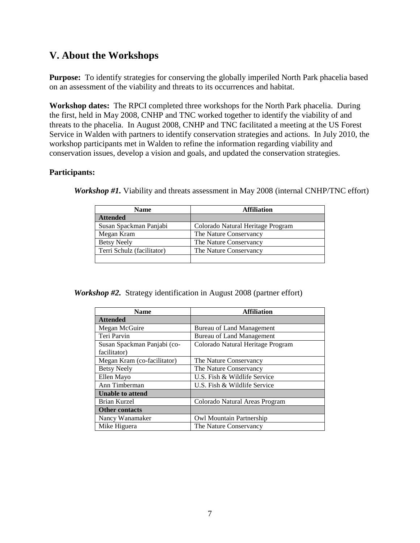### <span id="page-6-0"></span>**V. About the Workshops**

**Purpose:** To identify strategies for conserving the globally imperiled North Park phacelia based on an assessment of the viability and threats to its occurrences and habitat.

**Workshop dates:** The RPCI completed three workshops for the North Park phacelia. During the first, held in May 2008, CNHP and TNC worked together to identify the viability of and threats to the phacelia. In August 2008, CNHP and TNC facilitated a meeting at the US Forest Service in Walden with partners to identify conservation strategies and actions. In July 2010, the workshop participants met in Walden to refine the information regarding viability and conservation issues, develop a vision and goals, and updated the conservation strategies.

#### **Participants:**

| <b>Name</b>                | <b>Affiliation</b>                |
|----------------------------|-----------------------------------|
| <b>Attended</b>            |                                   |
| Susan Spackman Panjabi     | Colorado Natural Heritage Program |
| Megan Kram                 | The Nature Conservancy            |
| <b>Betsy Neely</b>         | The Nature Conservancy            |
| Terri Schulz (facilitator) | The Nature Conservancy            |
|                            |                                   |

*Workshop #1*. Viability and threats assessment in May 2008 (internal CNHP/TNC effort)

*Workshop #2.* Strategy identification in August 2008 (partner effort)

| <b>Name</b>                 | <b>Affiliation</b>                |
|-----------------------------|-----------------------------------|
| <b>Attended</b>             |                                   |
| Megan McGuire               | Bureau of Land Management         |
| Teri Parvin                 | Bureau of Land Management         |
| Susan Spackman Panjabi (co- | Colorado Natural Heritage Program |
| facilitator)                |                                   |
| Megan Kram (co-facilitator) | The Nature Conservancy            |
| <b>Betsy Neely</b>          | The Nature Conservancy            |
| Ellen Mayo                  | U.S. Fish & Wildlife Service      |
| Ann Timberman               | U.S. Fish & Wildlife Service      |
| <b>Unable to attend</b>     |                                   |
| Brian Kurzel                | Colorado Natural Areas Program    |
| <b>Other contacts</b>       |                                   |
| Nancy Wanamaker             | Owl Mountain Partnership          |
| Mike Higuera                | The Nature Conservancy            |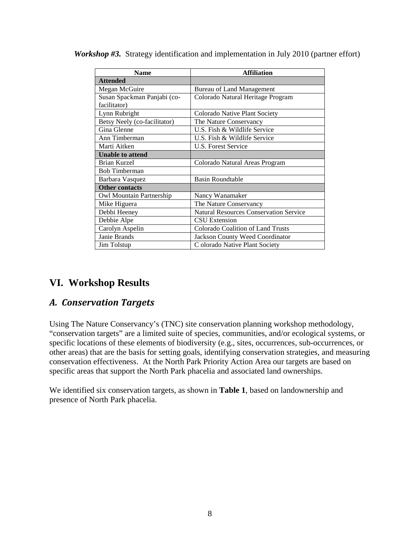| <b>Name</b>                  | <b>Affiliation</b>                            |
|------------------------------|-----------------------------------------------|
| <b>Attended</b>              |                                               |
| Megan McGuire                | <b>Bureau of Land Management</b>              |
| Susan Spackman Panjabi (co-  | Colorado Natural Heritage Program             |
| facilitator)                 |                                               |
| Lynn Rubright                | Colorado Native Plant Society                 |
| Betsy Neely (co-facilitator) | The Nature Conservancy                        |
| Gina Glenne                  | U.S. Fish & Wildlife Service                  |
| Ann Timberman                | U.S. Fish & Wildlife Service                  |
| Marti Aitken                 | U.S. Forest Service                           |
| <b>Unable to attend</b>      |                                               |
| <b>Brian Kurzel</b>          | Colorado Natural Areas Program                |
| <b>Bob Timberman</b>         |                                               |
| Barbara Vasquez              | <b>Basin Roundtable</b>                       |
| <b>Other contacts</b>        |                                               |
| Owl Mountain Partnership     | Nancy Wanamaker                               |
| Mike Higuera                 | The Nature Conservancy                        |
| Debbi Heeney                 | <b>Natural Resources Conservation Service</b> |
| Debbie Alpe                  | <b>CSU</b> Extension                          |
| Carolyn Aspelin              | <b>Colorado Coalition of Land Trusts</b>      |
| Janie Brands                 | Jackson County Weed Coordinator               |
| Jim Tolstup                  | C olorado Native Plant Society                |

*Workshop #3.* Strategy identification and implementation in July 2010 (partner effort)

### <span id="page-7-0"></span>**VI. Workshop Results**

### <span id="page-7-1"></span>*A. Conservation Targets*

Using The Nature Conservancy's (TNC) site conservation planning workshop methodology, "conservation targets" are a limited suite of species, communities, and/or ecological systems, or specific locations of these elements of biodiversity (e.g., sites, occurrences, sub-occurrences, or other areas) that are the basis for setting goals, identifying conservation strategies, and measuring conservation effectiveness. At the North Park Priority Action Area our targets are based on specific areas that support the North Park phacelia and associated land ownerships.

We identified six conservation targets, as shown in **Table 1**, based on landownership and presence of North Park phacelia.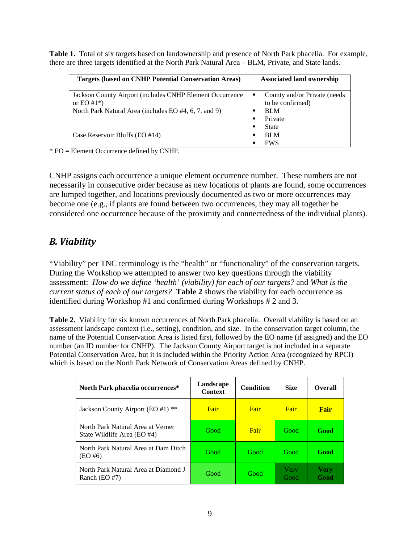**Table 1.** Total of six targets based on landownership and presence of North Park phacelia. For example, there are three targets identified at the North Park Natural Area – BLM, Private, and State lands.

| <b>Targets (based on CNHP Potential Conservation Areas)</b>                 | <b>Associated land ownership</b>                      |
|-----------------------------------------------------------------------------|-------------------------------------------------------|
| Jackson County Airport (includes CNHP Element Occurrence)<br>or EO $#1^*$ ) | County and/or Private (needs<br>٠<br>to be confirmed) |
| North Park Natural Area (includes EO #4, 6, 7, and 9)                       | <b>BLM</b><br>■<br>Private<br>State<br>ш              |
| Case Reservoir Bluffs (EO #14)                                              | <b>BLM</b><br>п<br>FWS                                |

\* EO = Element Occurrence defined by CNHP.

CNHP assigns each occurrence a unique element occurrence number. These numbers are not necessarily in consecutive order because as new locations of plants are found, some occurrences are lumped together, and locations previously documented as two or more occurrences may become one (e.g., if plants are found between two occurrences, they may all together be considered one occurrence because of the proximity and connectedness of the individual plants).

### <span id="page-8-0"></span>*B. Viability*

"Viability" per TNC terminology is the "health" or "functionality" of the conservation targets. During the Workshop we attempted to answer two key questions through the viability assessment: *How do we define 'health' (viability) for each of our targets?* and *What is the current status of each of our targets?* **Table 2** shows the viability for each occurrence as identified during Workshop #1 and confirmed during Workshops # 2 and 3.

**Table 2.** Viability for six known occurrences of North Park phacelia. Overall viability is based on an assessment landscape context (i.e., setting), condition, and size. In the conservation target column, the name of the Potential Conservation Area is listed first, followed by the EO name (if assigned) and the EO number (an ID number for CNHP). The Jackson County Airport target is not included in a separate Potential Conservation Area, but it is included within the Priority Action Area (recognized by RPCI) which is based on the North Park Network of Conservation Areas defined by CNHP.

| North Park phacelia occurrences*                                 | Landscape<br><b>Context</b> | <b>Condition</b> | <b>Size</b>  | <b>Overall</b>      |
|------------------------------------------------------------------|-----------------------------|------------------|--------------|---------------------|
| Jackson County Airport (EO #1) **                                | Fair                        | Fair             | Fair         | Fair                |
| North Park Natural Area at Verner<br>State Wildlife Area (EO #4) | Good                        | Fair             | <b>Good</b>  | Good                |
| North Park Natural Area at Dam Ditch<br>$(EO \#6)$               | Good                        | Good             | Good         | Good                |
| North Park Natural Area at Diamond J<br>Ranch $(EO #7)$          | Good                        | Good             | Very<br>Good | <b>Very</b><br>Good |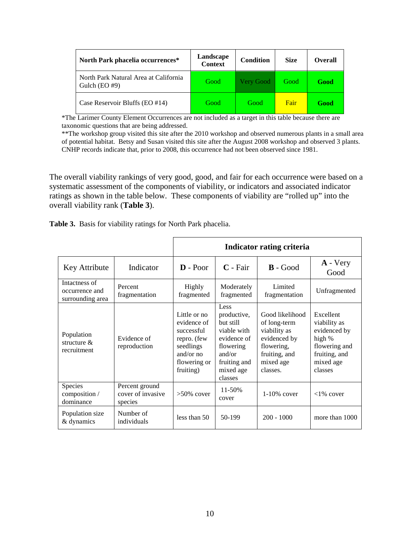| North Park phacelia occurrences*                          | Landscape<br><b>Context</b> | <b>Condition</b> | <b>Size</b> | <b>Overall</b> |
|-----------------------------------------------------------|-----------------------------|------------------|-------------|----------------|
| North Park Natural Area at California<br>Gulch $(EO \#9)$ | Good                        | <b>Very Good</b> | Good        | Good           |
| Case Reservoir Bluffs (EO #14)                            | Good                        | Good             | Fair        | Good           |

\*The Larimer County Element Occurrences are not included as a target in this table because there are taxonomic questions that are being addressed.

\*\*The workshop group visited this site after the 2010 workshop and observed numerous plants in a small area of potential habitat. Betsy and Susan visited this site after the August 2008 workshop and observed 3 plants. CNHP records indicate that, prior to 2008, this occurrence had not been observed since 1981.

The overall viability rankings of very good, good, and fair for each occurrence were based on a systematic assessment of the components of viability, or indicators and associated indicator ratings as shown in the table below. These components of viability are "rolled up" into the overall viability rank (**Table 3**).

| Table 3. Basis for viability ratings for North Park phacelia. |  |  |  |  |  |  |  |  |
|---------------------------------------------------------------|--|--|--|--|--|--|--|--|
|---------------------------------------------------------------|--|--|--|--|--|--|--|--|

|                                                     |                                                | Indicator rating criteria                                                                                         |                                                                                                                               |                                                                                                                         |                                                                                                               |  |  |
|-----------------------------------------------------|------------------------------------------------|-------------------------------------------------------------------------------------------------------------------|-------------------------------------------------------------------------------------------------------------------------------|-------------------------------------------------------------------------------------------------------------------------|---------------------------------------------------------------------------------------------------------------|--|--|
| Key Attribute                                       | Indicator                                      | $\mathbf{D}$ - Poor                                                                                               | $C$ - Fair                                                                                                                    | $\mathbf{B}$ - Good                                                                                                     | $A - Very$<br>Good                                                                                            |  |  |
| Intactness of<br>occurrence and<br>surrounding area | Percent<br>fragmentation                       | Highly<br>fragmented                                                                                              | Moderately<br>fragmented                                                                                                      | Limited<br>fragmentation                                                                                                | Unfragmented                                                                                                  |  |  |
| Population<br>structure $\&$<br>recruitment         | Evidence of<br>reproduction                    | Little or no<br>evidence of<br>successful<br>repro. (few<br>seedlings<br>and/or $no$<br>flowering or<br>fruiting) | Less<br>productive,<br>but still<br>viable with<br>evidence of<br>flowering<br>and/or<br>fruiting and<br>mixed age<br>classes | Good likelihood<br>of long-term<br>viability as<br>evidenced by<br>flowering,<br>fruiting, and<br>mixed age<br>classes. | Excellent<br>viability as<br>evidenced by<br>high %<br>flowering and<br>fruiting, and<br>mixed age<br>classes |  |  |
| Species<br>composition /<br>dominance               | Percent ground<br>cover of invasive<br>species | $>50\%$ cover                                                                                                     | 11-50%<br>cover                                                                                                               | $1-10\%$ cover                                                                                                          | $<1\%$ cover                                                                                                  |  |  |
| Population size<br>& dynamics                       | Number of<br>individuals                       | less than $50$                                                                                                    | 50-199                                                                                                                        | $200 - 1000$                                                                                                            | more than 1000                                                                                                |  |  |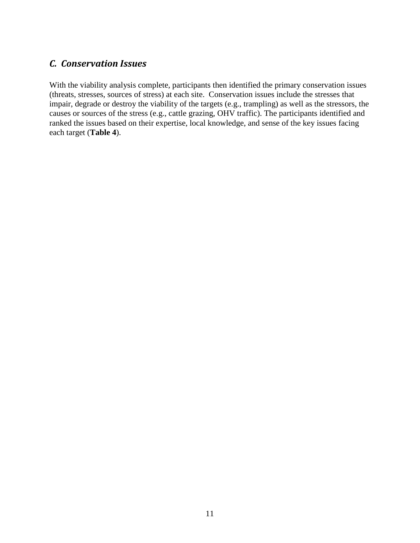### <span id="page-10-0"></span>*C. Conservation Issues*

With the viability analysis complete, participants then identified the primary conservation issues (threats, stresses, sources of stress) at each site. Conservation issues include the stresses that impair, degrade or destroy the viability of the targets (e.g., trampling) as well as the stressors, the causes or sources of the stress (e.g., cattle grazing, OHV traffic). The participants identified and ranked the issues based on their expertise, local knowledge, and sense of the key issues facing each target (**Table 4**).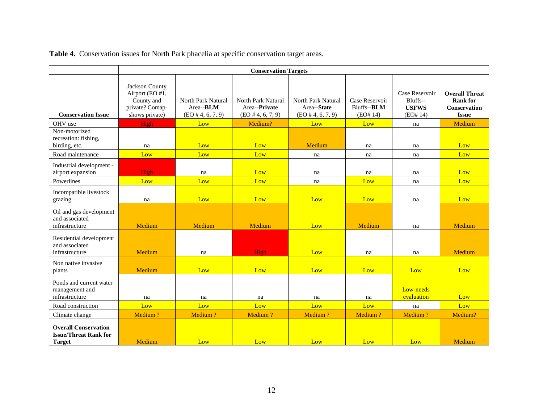| Table 4. Conservation issues for North Park phacelia at specific conservation target areas. |  |  |  |  |
|---------------------------------------------------------------------------------------------|--|--|--|--|
|                                                                                             |  |  |  |  |

|                                                                              | <b>Conservation Targets</b>                                                          |                                                                 |                                                             |                                                           |                                           |                                                        |                                                                                 |  |  |  |
|------------------------------------------------------------------------------|--------------------------------------------------------------------------------------|-----------------------------------------------------------------|-------------------------------------------------------------|-----------------------------------------------------------|-------------------------------------------|--------------------------------------------------------|---------------------------------------------------------------------------------|--|--|--|
| <b>Conservation Issue</b>                                                    | Jackson County<br>Airport (EO #1,<br>County and<br>private? Comap-<br>shows private) | North Park Natural<br>Area-- <b>BLM</b><br>$(EO \# 4, 6, 7, 9)$ | North Park Natural<br>Area--Private<br>$(EO \# 4, 6, 7, 9)$ | North Park Natural<br>Area--State<br>$(EO \# 4, 6, 7, 9)$ | Case Reservoir<br>Bluffs--BLM<br>(EO# 14) | Case Reservoir<br>Bluffs--<br><b>USFWS</b><br>(EO# 14) | <b>Overall Threat</b><br><b>Rank for</b><br><b>Conservation</b><br><b>Issue</b> |  |  |  |
| OHV use                                                                      | High                                                                                 | Low                                                             | Medium?                                                     | Low                                                       | Low                                       | na                                                     | Medium                                                                          |  |  |  |
| Non-motorized<br>recreation: fishing,<br>birding, etc.                       | na                                                                                   | Low                                                             | Low                                                         | Medium                                                    | na                                        | na                                                     | Low                                                                             |  |  |  |
| Road maintenance                                                             | Low                                                                                  | Low                                                             | Low                                                         | na                                                        | na                                        | na                                                     | Low                                                                             |  |  |  |
| Industrial development -<br>airport expansion                                | High                                                                                 | na                                                              | Low                                                         | na                                                        | na                                        | na                                                     | Low                                                                             |  |  |  |
| Powerlines                                                                   | Low                                                                                  | Low                                                             | Low                                                         | na                                                        | Low                                       | na                                                     | Low                                                                             |  |  |  |
| Incompatible livestock<br>grazing                                            | na                                                                                   | Low                                                             | Low                                                         | Low                                                       | Low                                       | na                                                     | Low                                                                             |  |  |  |
| Oil and gas development<br>and associated<br>infrastructure                  | Medium                                                                               | Medium                                                          | Medium                                                      | Low                                                       | Medium                                    | na                                                     | Medium                                                                          |  |  |  |
| Residential development<br>and associated<br>infrastructure                  | Medium                                                                               | na                                                              | High                                                        | Low                                                       | na                                        | na                                                     | Medium                                                                          |  |  |  |
| Non native invasive<br>plants                                                | Medium                                                                               | Low                                                             | Low                                                         | Low                                                       | Low                                       | Low                                                    | Low                                                                             |  |  |  |
| Ponds and current water<br>management and<br>infrastructure                  | na                                                                                   | na                                                              | na                                                          | na                                                        | na                                        | Low-needs<br>evaluation                                | Low                                                                             |  |  |  |
| Road construction                                                            | Low                                                                                  | Low                                                             | Low                                                         | Low                                                       | Low                                       | na                                                     | Low                                                                             |  |  |  |
| Climate change                                                               | Medium?                                                                              | Medium?                                                         | Medium?                                                     | Medium?                                                   | Medium?                                   | Medium?                                                | Medium?                                                                         |  |  |  |
| <b>Overall Conservation</b><br><b>Issue/Threat Rank for</b><br><b>Target</b> | Medium                                                                               | Low                                                             | Low                                                         | Low                                                       | Low                                       | Low                                                    | Medium                                                                          |  |  |  |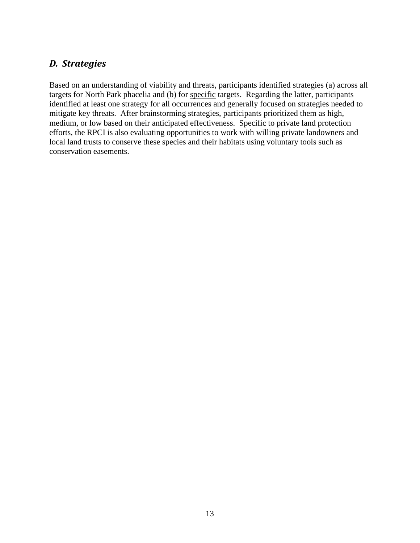### <span id="page-12-0"></span>*D. Strategies*

Based on an understanding of viability and threats, participants identified strategies (a) across all targets for North Park phacelia and (b) for specific targets. Regarding the latter, participants identified at least one strategy for all occurrences and generally focused on strategies needed to mitigate key threats. After brainstorming strategies, participants prioritized them as high, medium, or low based on their anticipated effectiveness. Specific to private land protection efforts, the RPCI is also evaluating opportunities to work with willing private landowners and local land trusts to conserve these species and their habitats using voluntary tools such as conservation easements.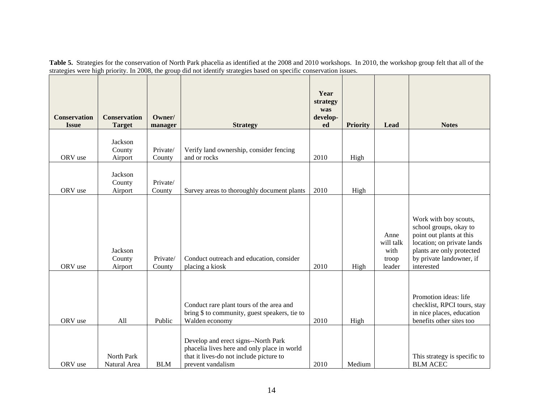| Table 5. Strategies for the conservation of North Park phacelia as identified at the 2008 and 2010 workshops. In 2010, the workshop group felt that all of the |  |
|----------------------------------------------------------------------------------------------------------------------------------------------------------------|--|
| strategies were high priority. In 2008, the group did not identify strategies based on specific conservation issues.                                           |  |

| <b>Conservation</b><br><b>Issue</b> | <b>Conservation</b><br><b>Target</b> | Owner/<br>manager  | <b>Strategy</b>                                                                                                                                    | Year<br>strategy<br>was<br>develop-<br>ed | <b>Priority</b> | Lead                                         | <b>Notes</b>                                                                                                                                                                     |
|-------------------------------------|--------------------------------------|--------------------|----------------------------------------------------------------------------------------------------------------------------------------------------|-------------------------------------------|-----------------|----------------------------------------------|----------------------------------------------------------------------------------------------------------------------------------------------------------------------------------|
|                                     |                                      |                    |                                                                                                                                                    |                                           |                 |                                              |                                                                                                                                                                                  |
| ORV use                             | Jackson<br>County<br>Airport         | Private/<br>County | Verify land ownership, consider fencing<br>and or rocks                                                                                            | 2010                                      | High            |                                              |                                                                                                                                                                                  |
| ORV use                             | Jackson<br>County<br>Airport         | Private/<br>County | Survey areas to thoroughly document plants                                                                                                         | 2010                                      | High            |                                              |                                                                                                                                                                                  |
| ORV use                             | Jackson<br>County<br>Airport         | Private/<br>County | Conduct outreach and education, consider<br>placing a kiosk                                                                                        | 2010                                      | High            | Anne<br>will talk<br>with<br>troop<br>leader | Work with boy scouts,<br>school groups, okay to<br>point out plants at this<br>location; on private lands<br>plants are only protected<br>by private landowner, if<br>interested |
| ORV use                             | All                                  | Public             | Conduct rare plant tours of the area and<br>bring \$ to community, guest speakers, tie to<br>Walden economy                                        | 2010                                      | High            |                                              | Promotion ideas: life<br>checklist, RPCI tours, stay<br>in nice places, education<br>benefits other sites too                                                                    |
| ORV use                             | North Park<br>Natural Area           | <b>BLM</b>         | Develop and erect signs--North Park<br>phacelia lives here and only place in world<br>that it lives-do not include picture to<br>prevent vandalism | 2010                                      | Medium          |                                              | This strategy is specific to<br><b>BLM ACEC</b>                                                                                                                                  |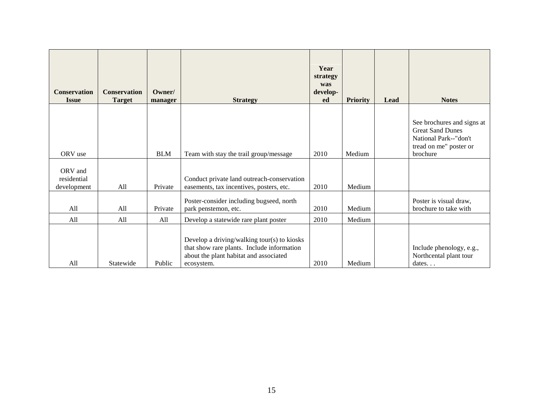| <b>Conservation</b><br><b>Issue</b>   | <b>Conservation</b><br><b>Target</b> | Owner/<br>manager | <b>Strategy</b>                                                                                                                                   | Year<br>strategy<br>was<br>develop-<br>ed | <b>Priority</b> | Lead | <b>Notes</b>                                                                                                         |
|---------------------------------------|--------------------------------------|-------------------|---------------------------------------------------------------------------------------------------------------------------------------------------|-------------------------------------------|-----------------|------|----------------------------------------------------------------------------------------------------------------------|
| ORV use                               |                                      | <b>BLM</b>        | Team with stay the trail group/message                                                                                                            | 2010                                      | Medium          |      | See brochures and signs at<br><b>Great Sand Dunes</b><br>National Park--"don't<br>tread on me" poster or<br>brochure |
| ORV and<br>residential<br>development | All                                  | Private           | Conduct private land outreach-conservation<br>easements, tax incentives, posters, etc.                                                            | 2010                                      | Medium          |      |                                                                                                                      |
| All                                   | All                                  | Private           | Poster-consider including bugseed, north<br>park penstemon, etc.                                                                                  | 2010                                      | Medium          |      | Poster is visual draw,<br>brochure to take with                                                                      |
| All                                   | All                                  | All               | Develop a statewide rare plant poster                                                                                                             | 2010                                      | Medium          |      |                                                                                                                      |
| All                                   | Statewide                            | Public            | Develop a driving/walking tour(s) to kiosks<br>that show rare plants. Include information<br>about the plant habitat and associated<br>ecosystem. | 2010                                      | Medium          |      | Include phenology, e.g.,<br>Northcental plant tour<br>dates. $\ldots$                                                |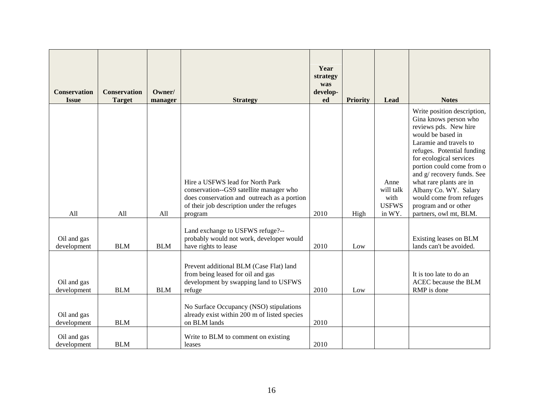| <b>Conservation</b><br><b>Issue</b> | <b>Conservation</b><br><b>Target</b> | Owner/<br>manager | <b>Strategy</b>                                                                                                                                                                     | Year<br>strategy<br>was<br>develop-<br>ed | <b>Priority</b> | Lead                                                | <b>Notes</b>                                                                                                                                                                                                                                                                                                                                                                      |
|-------------------------------------|--------------------------------------|-------------------|-------------------------------------------------------------------------------------------------------------------------------------------------------------------------------------|-------------------------------------------|-----------------|-----------------------------------------------------|-----------------------------------------------------------------------------------------------------------------------------------------------------------------------------------------------------------------------------------------------------------------------------------------------------------------------------------------------------------------------------------|
| A11                                 | All                                  | A11               | Hire a USFWS lead for North Park<br>conservation--GS9 satellite manager who<br>does conservation and outreach as a portion<br>of their job description under the refuges<br>program | 2010                                      | High            | Anne<br>will talk<br>with<br><b>USFWS</b><br>in WY. | Write position description,<br>Gina knows person who<br>reviews pds. New hire<br>would be based in<br>Laramie and travels to<br>refuges. Potential funding<br>for ecological services<br>portion could come from o<br>and g/ recovery funds. See<br>what rare plants are in<br>Albany Co. WY. Salary<br>would come from refuges<br>program and or other<br>partners, owl mt, BLM. |
| Oil and gas<br>development          | <b>BLM</b>                           | <b>BLM</b>        | Land exchange to USFWS refuge?--<br>probably would not work, developer would<br>have rights to lease                                                                                | 2010                                      | Low             |                                                     | Existing leases on BLM<br>lands can't be avoided.                                                                                                                                                                                                                                                                                                                                 |
| Oil and gas<br>development          | <b>BLM</b>                           | <b>BLM</b>        | Prevent additional BLM (Case Flat) land<br>from being leased for oil and gas<br>development by swapping land to USFWS<br>refuge                                                     | 2010                                      | Low             |                                                     | It is too late to do an<br>ACEC because the BLM<br>RMP is done                                                                                                                                                                                                                                                                                                                    |
| Oil and gas<br>development          | <b>BLM</b>                           |                   | No Surface Occupancy (NSO) stipulations<br>already exist within 200 m of listed species<br>on BLM lands                                                                             | 2010                                      |                 |                                                     |                                                                                                                                                                                                                                                                                                                                                                                   |
| Oil and gas<br>development          | <b>BLM</b>                           |                   | Write to BLM to comment on existing<br>leases                                                                                                                                       | 2010                                      |                 |                                                     |                                                                                                                                                                                                                                                                                                                                                                                   |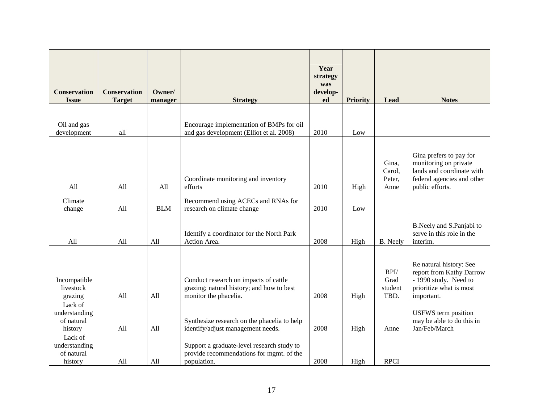| <b>Conservation</b><br><b>Issue</b>               | <b>Conservation</b><br><b>Target</b> | Owner/<br>manager | <b>Strategy</b>                                                                                             | Year<br>strategy<br>was<br>develop-<br>ed | <b>Priority</b> | Lead                              | <b>Notes</b>                                                                                                                   |
|---------------------------------------------------|--------------------------------------|-------------------|-------------------------------------------------------------------------------------------------------------|-------------------------------------------|-----------------|-----------------------------------|--------------------------------------------------------------------------------------------------------------------------------|
| Oil and gas<br>development                        | all                                  |                   | Encourage implementation of BMPs for oil<br>and gas development (Elliot et al. 2008)                        | 2010                                      | Low             |                                   |                                                                                                                                |
| All                                               | All                                  | All               | Coordinate monitoring and inventory<br>efforts                                                              | 2010                                      | High            | Gina,<br>Carol,<br>Peter,<br>Anne | Gina prefers to pay for<br>monitoring on private<br>lands and coordinate with<br>federal agencies and other<br>public efforts. |
| Climate<br>change                                 | All                                  | <b>BLM</b>        | Recommend using ACECs and RNAs for<br>research on climate change                                            | 2010                                      | Low             |                                   |                                                                                                                                |
| All                                               | All                                  | All               | Identify a coordinator for the North Park<br>Action Area.                                                   | 2008                                      | High            | <b>B.</b> Neely                   | B.Neely and S.Panjabi to<br>serve in this role in the<br>interim.                                                              |
| Incompatible<br>livestock<br>grazing              | All                                  | All               | Conduct research on impacts of cattle<br>grazing; natural history; and how to best<br>monitor the phacelia. | 2008                                      | High            | RPI/<br>Grad<br>student<br>TBD.   | Re natural history: See<br>report from Kathy Darrow<br>- 1990 study. Need to<br>prioritize what is most<br>important.          |
| Lack of<br>understanding<br>of natural<br>history | All                                  | All               | Synthesize research on the phacelia to help<br>identify/adjust management needs.                            | 2008                                      | High            | Anne                              | <b>USFWS</b> term position<br>may be able to do this in<br>Jan/Feb/March                                                       |
| Lack of<br>understanding<br>of natural<br>history | All                                  | All               | Support a graduate-level research study to<br>provide recommendations for mgmt. of the<br>population.       | 2008                                      | High            | <b>RPCI</b>                       |                                                                                                                                |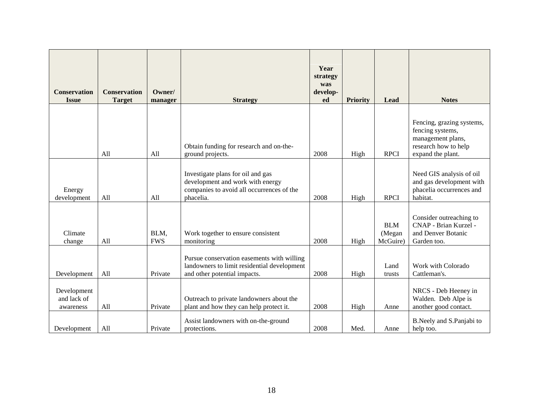| <b>Conservation</b><br><b>Issue</b>     | <b>Conservation</b><br><b>Target</b> | Owner/<br>manager  | <b>Strategy</b>                                                                                                                 | Year<br>strategy<br>was<br>develop-<br>ed | <b>Priority</b> | Lead                             | <b>Notes</b>                                                                                                    |
|-----------------------------------------|--------------------------------------|--------------------|---------------------------------------------------------------------------------------------------------------------------------|-------------------------------------------|-----------------|----------------------------------|-----------------------------------------------------------------------------------------------------------------|
|                                         | All                                  | All                | Obtain funding for research and on-the-<br>ground projects.                                                                     | 2008                                      | High            | <b>RPCI</b>                      | Fencing, grazing systems,<br>fencing systems,<br>management plans,<br>research how to help<br>expand the plant. |
| Energy<br>development                   | All                                  | All                | Investigate plans for oil and gas<br>development and work with energy<br>companies to avoid all occurrences of the<br>phacelia. | 2008                                      | High            | <b>RPCI</b>                      | Need GIS analysis of oil<br>and gas development with<br>phacelia occurrences and<br>habitat.                    |
| Climate<br>change                       | All                                  | BLM,<br><b>FWS</b> | Work together to ensure consistent<br>monitoring                                                                                | 2008                                      | High            | <b>BLM</b><br>(Megan<br>McGuire) | Consider outreaching to<br>CNAP - Brian Kurzel -<br>and Denver Botanic<br>Garden too.                           |
| Development                             | All                                  | Private            | Pursue conservation easements with willing<br>landowners to limit residential development<br>and other potential impacts.       | 2008                                      | High            | Land<br>trusts                   | Work with Colorado<br>Cattleman's.                                                                              |
| Development<br>and lack of<br>awareness | All                                  | Private            | Outreach to private landowners about the<br>plant and how they can help protect it.                                             | 2008                                      | High            | Anne                             | NRCS - Deb Heeney in<br>Walden. Deb Alpe is<br>another good contact.                                            |
| Development                             | All                                  | Private            | Assist landowners with on-the-ground<br>protections.                                                                            | 2008                                      | Med.            | Anne                             | B.Neely and S.Panjabi to<br>help too.                                                                           |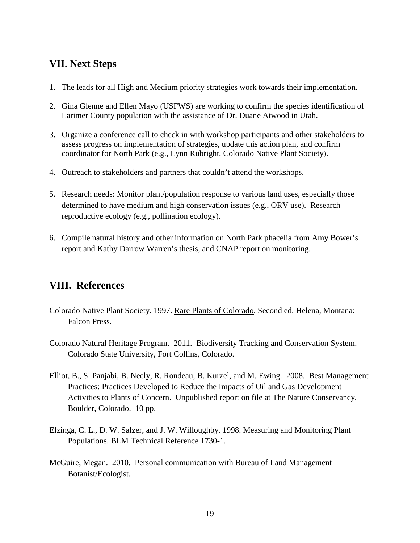### <span id="page-18-0"></span>**VII. Next Steps**

- 1. The leads for all High and Medium priority strategies work towards their implementation.
- 2. Gina Glenne and Ellen Mayo (USFWS) are working to confirm the species identification of Larimer County population with the assistance of Dr. Duane Atwood in Utah.
- 3. Organize a conference call to check in with workshop participants and other stakeholders to assess progress on implementation of strategies, update this action plan, and confirm coordinator for North Park (e.g., Lynn Rubright, Colorado Native Plant Society).
- 4. Outreach to stakeholders and partners that couldn't attend the workshops.
- 5. Research needs: Monitor plant/population response to various land uses, especially those determined to have medium and high conservation issues (e.g., ORV use). Research reproductive ecology (e.g., pollination ecology).
- 6. Compile natural history and other information on North Park phacelia from Amy Bower's report and Kathy Darrow Warren's thesis, and CNAP report on monitoring.

# <span id="page-18-1"></span>**VIII. References**

- Colorado Native Plant Society. 1997. Rare Plants of Colorado. Second ed. Helena, Montana: Falcon Press.
- Colorado Natural Heritage Program. 2011. Biodiversity Tracking and Conservation System. Colorado State University, Fort Collins, Colorado.
- Elliot, B., S. Panjabi, B. Neely, R. Rondeau, B. Kurzel, and M. Ewing. 2008. Best Management Practices: Practices Developed to Reduce the Impacts of Oil and Gas Development Activities to Plants of Concern. Unpublished report on file at The Nature Conservancy, Boulder, Colorado. 10 pp.
- Elzinga, C. L., D. W. Salzer, and J. W. Willoughby. 1998. Measuring and Monitoring Plant Populations. BLM Technical Reference 1730-1.
- McGuire, Megan. 2010. Personal communication with Bureau of Land Management Botanist/Ecologist.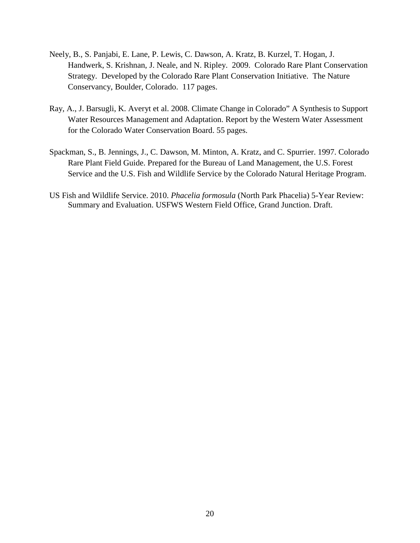- Neely, B., S. Panjabi, E. Lane, P. Lewis, C. Dawson, A. Kratz, B. Kurzel, T. Hogan, J. Handwerk, S. Krishnan, J. Neale, and N. Ripley. 2009. Colorado Rare Plant Conservation Strategy. Developed by the Colorado Rare Plant Conservation Initiative. The Nature Conservancy, Boulder, Colorado. 117 pages.
- Ray, A., J. Barsugli, K. Averyt et al. 2008. Climate Change in Colorado" A Synthesis to Support Water Resources Management and Adaptation. Report by the Western Water Assessment for the Colorado Water Conservation Board. 55 pages.
- Spackman, S., B. Jennings, J., C. Dawson, M. Minton, A. Kratz, and C. Spurrier. 1997. Colorado Rare Plant Field Guide. Prepared for the Bureau of Land Management, the U.S. Forest Service and the U.S. Fish and Wildlife Service by the Colorado Natural Heritage Program.
- US Fish and Wildlife Service. 2010. *Phacelia formosula* (North Park Phacelia) 5-Year Review: Summary and Evaluation. USFWS Western Field Office, Grand Junction. Draft.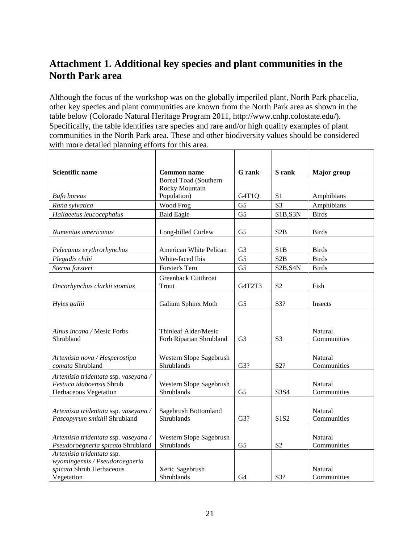# <span id="page-20-0"></span>**Attachment 1. Additional key species and plant communities in the North Park area**

Although the focus of the workshop was on the globally imperiled plant, North Park phacelia, other key species and plant communities are known from the North Park area as shown in the table below (Colorado Natural Heritage Program 2011, http://www.cnhp.colostate.edu/). Specifically, the table identifies rare species and rare and/or high quality examples of plant communities in the North Park area. These and other biodiversity values should be considered with more detailed planning efforts for this area.

| <b>Scientific name</b>                                                                                | <b>Common name</b>                              | <b>G</b> rank  | S rank                             | Major group            |
|-------------------------------------------------------------------------------------------------------|-------------------------------------------------|----------------|------------------------------------|------------------------|
|                                                                                                       | <b>Boreal Toad (Southern</b>                    |                |                                    |                        |
|                                                                                                       | Rocky Mountain                                  |                |                                    |                        |
| <b>Bufo</b> boreas                                                                                    | Population)                                     | G4T1Q          | S <sub>1</sub>                     | Amphibians             |
| Rana sylvatica                                                                                        | Wood Frog                                       | G <sub>5</sub> | S <sub>3</sub>                     | Amphibians             |
| Haliaeetus leucocephalus                                                                              | <b>Bald Eagle</b>                               | G <sub>5</sub> | S1B,S3N                            | <b>Birds</b>           |
| Numenius americanus                                                                                   | Long-billed Curlew                              | G <sub>5</sub> | S <sub>2</sub> B                   | <b>Birds</b>           |
| Pelecanus erythrorhynchos                                                                             | American White Pelican                          | G <sub>3</sub> | S <sub>1</sub> B                   | <b>Birds</b>           |
| Plegadis chihi                                                                                        | White-faced Ibis                                | G <sub>5</sub> | S2B                                | <b>Birds</b>           |
| Sterna forsteri                                                                                       | Forster's Tern                                  | G <sub>5</sub> | S <sub>2</sub> B, S <sub>4</sub> N | <b>Birds</b>           |
| Oncorhynchus clarkii stomias                                                                          | Greenback Cutthroat<br>Trout                    | G4T2T3         | S <sub>2</sub>                     | Fish                   |
| Hyles gallii                                                                                          | Galium Sphinx Moth                              | G <sub>5</sub> | S3?                                | Insects                |
| Alnus incana / Mesic Forbs<br>Shrubland                                                               | Thinleaf Alder/Mesic<br>Forb Riparian Shrubland | G <sub>3</sub> | S <sub>3</sub>                     | Natural<br>Communities |
| Artemisia nova / Hesperostipa<br>comata Shrubland                                                     | Western Slope Sagebrush<br>Shrublands           | G3?            | S2?                                | Natural<br>Communities |
| Artemisia tridentata ssp. vaseyana /<br>Festuca idahoensis Shrub<br>Herbaceous Vegetation             | Western Slope Sagebrush<br>Shrublands           | G <sub>5</sub> | S3S4                               | Natural<br>Communities |
| Artemisia tridentata ssp. vaseyana /<br>Pascopyrum smithii Shrubland                                  | Sagebrush Bottomland<br>Shrublands              | G3?            | S1S2                               | Natural<br>Communities |
| Artemisia tridentata ssp. vaseyana /<br>Pseudoroegneria spicata Shrubland                             | Western Slope Sagebrush<br>Shrublands           | G <sub>5</sub> | S <sub>2</sub>                     | Natural<br>Communities |
| Artemisia tridentata ssp.<br>wyomingensis / Pseudoroegneria<br>spicata Shrub Herbaceous<br>Vegetation | Xeric Sagebrush<br>Shrublands                   | G <sub>4</sub> | S3?                                | Natural<br>Communities |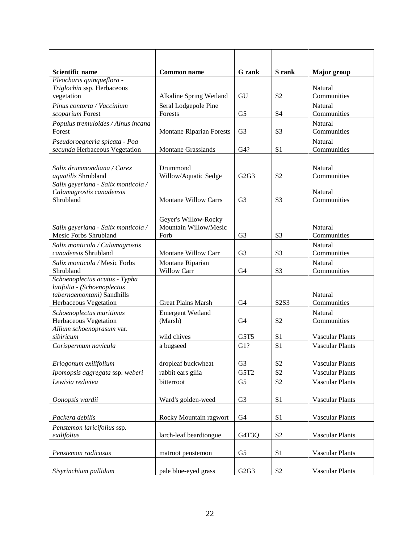| Scientific name                                              | <b>Common name</b>                            | <b>G</b> rank                 | S rank                        | <b>Major</b> group     |
|--------------------------------------------------------------|-----------------------------------------------|-------------------------------|-------------------------------|------------------------|
| Eleocharis quinqueflora -                                    |                                               |                               |                               |                        |
| Triglochin ssp. Herbaceous<br>vegetation                     | Alkaline Spring Wetland                       | GU                            | S <sub>2</sub>                | Natural<br>Communities |
| Pinus contorta / Vaccinium                                   | Seral Lodgepole Pine                          |                               |                               | Natural                |
| scoparium Forest                                             | Forests                                       | G <sub>5</sub>                | S <sub>4</sub>                | Communities            |
| Populus tremuloides / Alnus incana                           |                                               |                               |                               | Natural                |
| Forest                                                       | <b>Montane Riparian Forests</b>               | G <sub>3</sub>                | S <sub>3</sub>                | Communities            |
| Pseudoroegneria spicata - Poa                                |                                               |                               |                               | Natural                |
| secunda Herbaceous Vegetation                                | <b>Montane Grasslands</b>                     | G4?                           | S <sub>1</sub>                | Communities            |
| Salix drummondiana / Carex                                   |                                               |                               |                               | Natural                |
| aquatilis Shrubland                                          | Drummond<br>Willow/Aquatic Sedge              | G2G3                          | S <sub>2</sub>                | Communities            |
| Salix geyeriana - Salix monticola /                          |                                               |                               |                               |                        |
| Calamagrostis canadensis                                     |                                               |                               |                               | Natural                |
| Shrubland                                                    | <b>Montane Willow Carrs</b>                   | G <sub>3</sub>                | S <sub>3</sub>                | Communities            |
|                                                              |                                               |                               |                               |                        |
|                                                              | Geyer's Willow-Rocky<br>Mountain Willow/Mesic |                               |                               | <b>Natural</b>         |
| Salix geyeriana - Salix monticola /<br>Mesic Forbs Shrubland | Forb                                          | G <sub>3</sub>                | S <sub>3</sub>                | Communities            |
| Salix monticola / Calamagrostis                              |                                               |                               |                               | Natural                |
| canadensis Shrubland                                         | Montane Willow Carr                           | G <sub>3</sub>                | S <sub>3</sub>                | Communities            |
| Salix monticola / Mesic Forbs                                | Montane Riparian                              |                               |                               | Natural                |
| Shrubland                                                    | <b>Willow Carr</b>                            | G <sub>4</sub>                | S <sub>3</sub>                | Communities            |
| Schoenoplectus acutus - Typha                                |                                               |                               |                               |                        |
| latifolia - (Schoenoplectus<br>tabernaemontani) Sandhills    |                                               |                               |                               | Natural                |
| Herbaceous Vegetation                                        | <b>Great Plains Marsh</b>                     | G <sub>4</sub>                | S <sub>2</sub> S <sub>3</sub> | Communities            |
| Schoenoplectus maritimus                                     | <b>Emergent Wetland</b>                       |                               |                               | Natural                |
| Herbaceous Vegetation                                        | (Marsh)                                       | G <sub>4</sub>                | S <sub>2</sub>                | Communities            |
| Allium schoenoprasum var.                                    |                                               |                               |                               |                        |
| sibiricum                                                    | wild chives                                   | G5T5                          | S <sub>1</sub>                | <b>Vascular Plants</b> |
| Corispermum navicula                                         | a bugseed                                     | G1?                           | S <sub>1</sub>                | <b>Vascular Plants</b> |
| Eriogonum exilifolium                                        | dropleaf buckwheat                            | G <sub>3</sub>                | S <sub>2</sub>                | <b>Vascular Plants</b> |
| Ipomopsis aggregata ssp. weberi                              | rabbit ears gilia                             | G5T <sub>2</sub>              | S <sub>2</sub>                | <b>Vascular Plants</b> |
| Lewisia rediviva                                             | bitterroot                                    | G5                            | S <sub>2</sub>                | <b>Vascular Plants</b> |
|                                                              |                                               |                               |                               |                        |
| Oonopsis wardii                                              | Ward's golden-weed                            | G <sub>3</sub>                | S <sub>1</sub>                | <b>Vascular Plants</b> |
|                                                              |                                               |                               |                               |                        |
| Packera debilis                                              | Rocky Mountain ragwort                        | G <sub>4</sub>                | S1                            | Vascular Plants        |
| Penstemon laricifolius ssp.                                  |                                               |                               |                               |                        |
| exilifolius                                                  | larch-leaf beardtongue                        | G4T3Q                         | S <sub>2</sub>                | Vascular Plants        |
| Penstemon radicosus                                          |                                               | G <sub>5</sub>                | S <sub>1</sub>                |                        |
|                                                              | matroot penstemon                             |                               |                               | Vascular Plants        |
| Sisyrinchium pallidum                                        | pale blue-eyed grass                          | G <sub>2</sub> G <sub>3</sub> | S <sub>2</sub>                | Vascular Plants        |